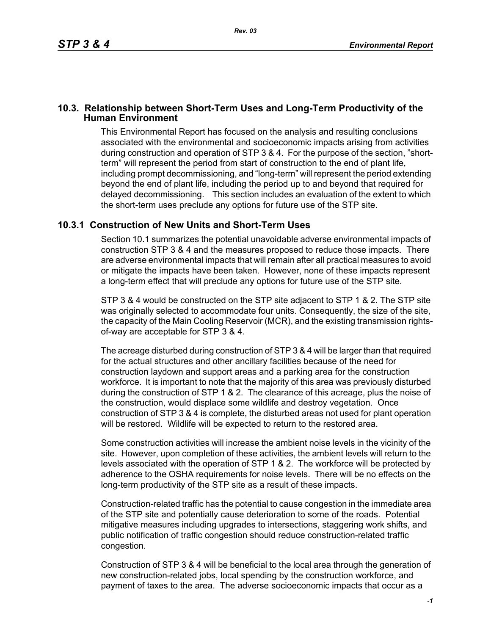## **10.3. Relationship between Short-Term Uses and Long-Term Productivity of the Human Environment**

This Environmental Report has focused on the analysis and resulting conclusions associated with the environmental and socioeconomic impacts arising from activities during construction and operation of STP 3 & 4. For the purpose of the section, "shortterm" will represent the period from start of construction to the end of plant life, including prompt decommissioning, and "long-term" will represent the period extending beyond the end of plant life, including the period up to and beyond that required for delayed decommissioning. This section includes an evaluation of the extent to which the short-term uses preclude any options for future use of the STP site.

## **10.3.1 Construction of New Units and Short-Term Uses**

Section 10.1 summarizes the potential unavoidable adverse environmental impacts of construction STP 3 & 4 and the measures proposed to reduce those impacts. There are adverse environmental impacts that will remain after all practical measures to avoid or mitigate the impacts have been taken. However, none of these impacts represent a long-term effect that will preclude any options for future use of the STP site.

STP 3 & 4 would be constructed on the STP site adjacent to STP 1 & 2. The STP site was originally selected to accommodate four units. Consequently, the size of the site, the capacity of the Main Cooling Reservoir (MCR), and the existing transmission rightsof-way are acceptable for STP 3 & 4.

The acreage disturbed during construction of STP 3 & 4 will be larger than that required for the actual structures and other ancillary facilities because of the need for construction laydown and support areas and a parking area for the construction workforce. It is important to note that the majority of this area was previously disturbed during the construction of STP 1 & 2. The clearance of this acreage, plus the noise of the construction, would displace some wildlife and destroy vegetation. Once construction of STP 3 & 4 is complete, the disturbed areas not used for plant operation will be restored. Wildlife will be expected to return to the restored area.

Some construction activities will increase the ambient noise levels in the vicinity of the site. However, upon completion of these activities, the ambient levels will return to the levels associated with the operation of STP 1 & 2. The workforce will be protected by adherence to the OSHA requirements for noise levels. There will be no effects on the long-term productivity of the STP site as a result of these impacts.

Construction-related traffic has the potential to cause congestion in the immediate area of the STP site and potentially cause deterioration to some of the roads. Potential mitigative measures including upgrades to intersections, staggering work shifts, and public notification of traffic congestion should reduce construction-related traffic congestion.

Construction of STP 3 & 4 will be beneficial to the local area through the generation of new construction-related jobs, local spending by the construction workforce, and payment of taxes to the area. The adverse socioeconomic impacts that occur as a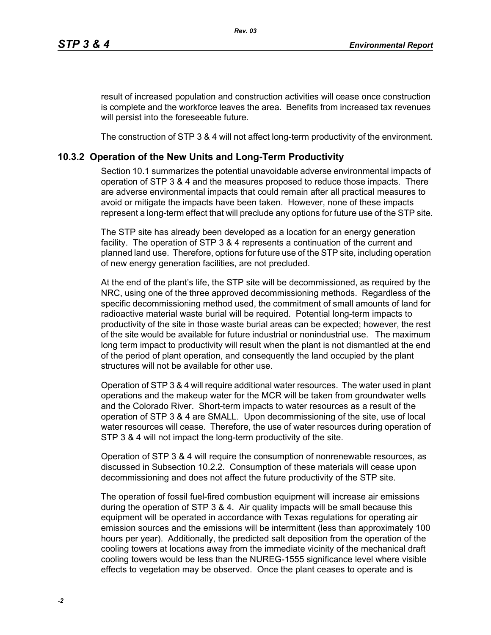result of increased population and construction activities will cease once construction is complete and the workforce leaves the area. Benefits from increased tax revenues will persist into the foreseeable future.

The construction of STP 3 & 4 will not affect long-term productivity of the environment.

## **10.3.2 Operation of the New Units and Long-Term Productivity**

Section 10.1 summarizes the potential unavoidable adverse environmental impacts of operation of STP 3 & 4 and the measures proposed to reduce those impacts. There are adverse environmental impacts that could remain after all practical measures to avoid or mitigate the impacts have been taken. However, none of these impacts represent a long-term effect that will preclude any options for future use of the STP site.

The STP site has already been developed as a location for an energy generation facility. The operation of STP 3 & 4 represents a continuation of the current and planned land use. Therefore, options for future use of the STP site, including operation of new energy generation facilities, are not precluded.

At the end of the plant's life, the STP site will be decommissioned, as required by the NRC, using one of the three approved decommissioning methods. Regardless of the specific decommissioning method used, the commitment of small amounts of land for radioactive material waste burial will be required. Potential long-term impacts to productivity of the site in those waste burial areas can be expected; however, the rest of the site would be available for future industrial or nonindustrial use. The maximum long term impact to productivity will result when the plant is not dismantled at the end of the period of plant operation, and consequently the land occupied by the plant structures will not be available for other use.

Operation of STP 3 & 4 will require additional water resources. The water used in plant operations and the makeup water for the MCR will be taken from groundwater wells and the Colorado River. Short-term impacts to water resources as a result of the operation of STP 3 & 4 are SMALL. Upon decommissioning of the site, use of local water resources will cease. Therefore, the use of water resources during operation of STP 3 & 4 will not impact the long-term productivity of the site.

Operation of STP 3 & 4 will require the consumption of nonrenewable resources, as discussed in Subsection 10.2.2. Consumption of these materials will cease upon decommissioning and does not affect the future productivity of the STP site.

The operation of fossil fuel-fired combustion equipment will increase air emissions during the operation of STP 3 & 4. Air quality impacts will be small because this equipment will be operated in accordance with Texas regulations for operating air emission sources and the emissions will be intermittent (less than approximately 100 hours per year). Additionally, the predicted salt deposition from the operation of the cooling towers at locations away from the immediate vicinity of the mechanical draft cooling towers would be less than the NUREG-1555 significance level where visible effects to vegetation may be observed. Once the plant ceases to operate and is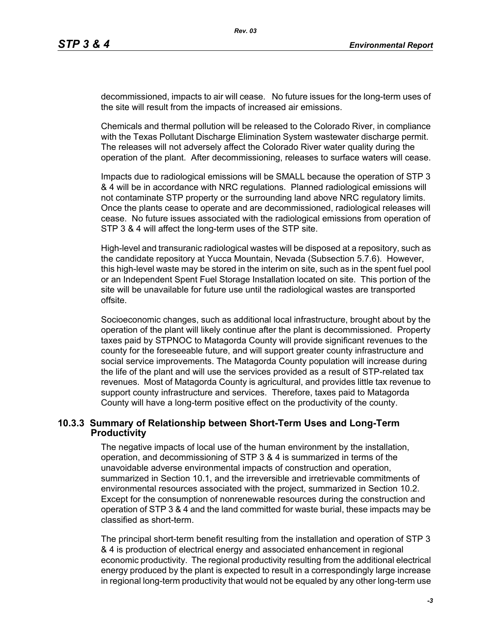decommissioned, impacts to air will cease. No future issues for the long-term uses of the site will result from the impacts of increased air emissions.

Chemicals and thermal pollution will be released to the Colorado River, in compliance with the Texas Pollutant Discharge Elimination System wastewater discharge permit. The releases will not adversely affect the Colorado River water quality during the operation of the plant. After decommissioning, releases to surface waters will cease.

Impacts due to radiological emissions will be SMALL because the operation of STP 3 & 4 will be in accordance with NRC regulations. Planned radiological emissions will not contaminate STP property or the surrounding land above NRC regulatory limits. Once the plants cease to operate and are decommissioned, radiological releases will cease. No future issues associated with the radiological emissions from operation of STP 3 & 4 will affect the long-term uses of the STP site.

High-level and transuranic radiological wastes will be disposed at a repository, such as the candidate repository at Yucca Mountain, Nevada (Subsection 5.7.6). However, this high-level waste may be stored in the interim on site, such as in the spent fuel pool or an Independent Spent Fuel Storage Installation located on site. This portion of the site will be unavailable for future use until the radiological wastes are transported offsite.

Socioeconomic changes, such as additional local infrastructure, brought about by the operation of the plant will likely continue after the plant is decommissioned. Property taxes paid by STPNOC to Matagorda County will provide significant revenues to the county for the foreseeable future, and will support greater county infrastructure and social service improvements. The Matagorda County population will increase during the life of the plant and will use the services provided as a result of STP-related tax revenues. Most of Matagorda County is agricultural, and provides little tax revenue to support county infrastructure and services. Therefore, taxes paid to Matagorda County will have a long-term positive effect on the productivity of the county.

## **10.3.3 Summary of Relationship between Short-Term Uses and Long-Term Productivity**

The negative impacts of local use of the human environment by the installation, operation, and decommissioning of STP 3 & 4 is summarized in terms of the unavoidable adverse environmental impacts of construction and operation, summarized in Section 10.1, and the irreversible and irretrievable commitments of environmental resources associated with the project, summarized in Section 10.2. Except for the consumption of nonrenewable resources during the construction and operation of STP 3 & 4 and the land committed for waste burial, these impacts may be classified as short-term.

The principal short-term benefit resulting from the installation and operation of STP 3 & 4 is production of electrical energy and associated enhancement in regional economic productivity. The regional productivity resulting from the additional electrical energy produced by the plant is expected to result in a correspondingly large increase in regional long-term productivity that would not be equaled by any other long-term use